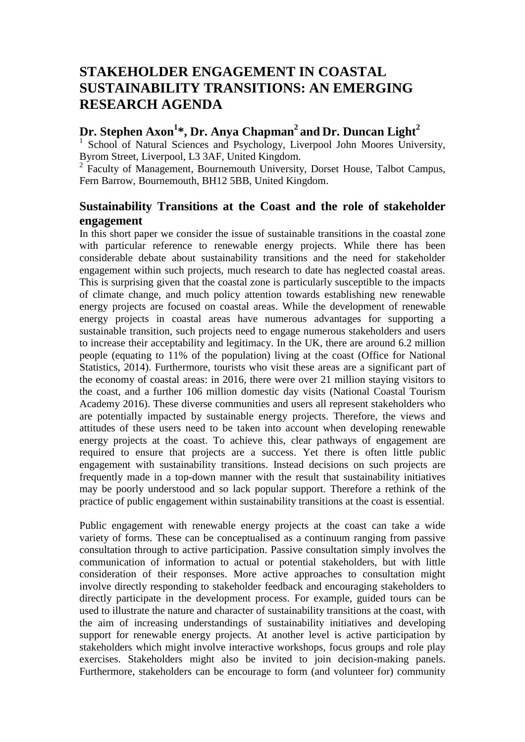# **STAKEHOLDER ENGAGEMENT IN COASTAL SUSTAINABILITY TRANSITIONS: AN EMERGING RESEARCH AGENDA**

# **Dr. Stephen Axon<sup>1</sup> \*, Dr. Anya Chapman<sup>2</sup> and Dr. Duncan Light<sup>2</sup>**

<sup>1</sup> School of Natural Sciences and Psychology, Liverpool John Moores University, Byrom Street, Liverpool, L3 3AF, United Kingdom.

<sup>2</sup> Faculty of Management, Bournemouth University, Dorset House, Talbot Campus, Fern Barrow, Bournemouth, BH12 5BB, United Kingdom.

#### **Sustainability Transitions at the Coast and the role of stakeholder engagement**

In this short paper we consider the issue of sustainable transitions in the coastal zone with particular reference to renewable energy projects. While there has been considerable debate about sustainability transitions and the need for stakeholder engagement within such projects, much research to date has neglected coastal areas. This is surprising given that the coastal zone is particularly susceptible to the impacts of climate change, and much policy attention towards establishing new renewable energy projects are focused on coastal areas. While the development of renewable energy projects in coastal areas have numerous advantages for supporting a sustainable transition, such projects need to engage numerous stakeholders and users to increase their acceptability and legitimacy. In the UK, there are around 6.2 million people (equating to 11% of the population) living at the coast (Office for National Statistics, 2014). Furthermore, tourists who visit these areas are a significant part of the economy of coastal areas: in 2016, there were over 21 million staying visitors to the coast, and a further 106 million domestic day visits (National Coastal Tourism Academy 2016). These diverse communities and users all represent stakeholders who are potentially impacted by sustainable energy projects. Therefore, the views and attitudes of these users need to be taken into account when developing renewable energy projects at the coast. To achieve this, clear pathways of engagement are required to ensure that projects are a success. Yet there is often little public engagement with sustainability transitions. Instead decisions on such projects are frequently made in a top-down manner with the result that sustainability initiatives may be poorly understood and so lack popular support. Therefore a rethink of the practice of public engagement within sustainability transitions at the coast is essential.

Public engagement with renewable energy projects at the coast can take a wide variety of forms. These can be conceptualised as a continuum ranging from passive consultation through to active participation. Passive consultation simply involves the communication of information to actual or potential stakeholders, but with little consideration of their responses. More active approaches to consultation might involve directly responding to stakeholder feedback and encouraging stakeholders to directly participate in the development process. For example, guided tours can be used to illustrate the nature and character of sustainability transitions at the coast, with the aim of increasing understandings of sustainability initiatives and developing support for renewable energy projects. At another level is active participation by stakeholders which might involve interactive workshops, focus groups and role play exercises. Stakeholders might also be invited to join decision-making panels. Furthermore, stakeholders can be encourage to form (and volunteer for) community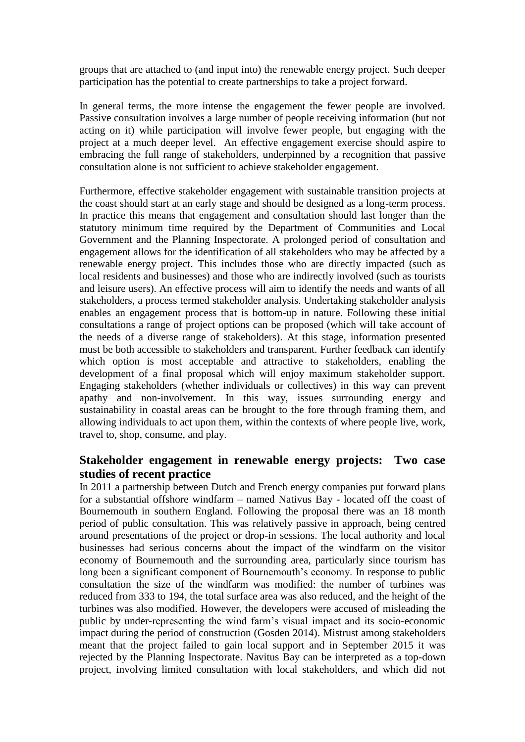groups that are attached to (and input into) the renewable energy project. Such deeper participation has the potential to create partnerships to take a project forward.

In general terms, the more intense the engagement the fewer people are involved. Passive consultation involves a large number of people receiving information (but not acting on it) while participation will involve fewer people, but engaging with the project at a much deeper level. An effective engagement exercise should aspire to embracing the full range of stakeholders, underpinned by a recognition that passive consultation alone is not sufficient to achieve stakeholder engagement.

Furthermore, effective stakeholder engagement with sustainable transition projects at the coast should start at an early stage and should be designed as a long-term process. In practice this means that engagement and consultation should last longer than the statutory minimum time required by the Department of Communities and Local Government and the Planning Inspectorate. A prolonged period of consultation and engagement allows for the identification of all stakeholders who may be affected by a renewable energy project. This includes those who are directly impacted (such as local residents and businesses) and those who are indirectly involved (such as tourists and leisure users). An effective process will aim to identify the needs and wants of all stakeholders, a process termed stakeholder analysis. Undertaking stakeholder analysis enables an engagement process that is bottom-up in nature. Following these initial consultations a range of project options can be proposed (which will take account of the needs of a diverse range of stakeholders). At this stage, information presented must be both accessible to stakeholders and transparent. Further feedback can identify which option is most acceptable and attractive to stakeholders, enabling the development of a final proposal which will enjoy maximum stakeholder support. Engaging stakeholders (whether individuals or collectives) in this way can prevent apathy and non-involvement. In this way, issues surrounding energy and sustainability in coastal areas can be brought to the fore through framing them, and allowing individuals to act upon them, within the contexts of where people live, work, travel to, shop, consume, and play.

## **Stakeholder engagement in renewable energy projects: Two case studies of recent practice**

In 2011 a partnership between Dutch and French energy companies put forward plans for a substantial offshore windfarm – named Nativus Bay - located off the coast of Bournemouth in southern England. Following the proposal there was an 18 month period of public consultation. This was relatively passive in approach, being centred around presentations of the project or drop-in sessions. The local authority and local businesses had serious concerns about the impact of the windfarm on the visitor economy of Bournemouth and the surrounding area, particularly since tourism has long been a significant component of Bournemouth's economy. In response to public consultation the size of the windfarm was modified: the number of turbines was reduced from 333 to 194, the total surface area was also reduced, and the height of the turbines was also modified. However, the developers were accused of misleading the public by under-representing the wind farm's visual impact and its socio-economic impact during the period of construction (Gosden 2014). Mistrust among stakeholders meant that the project failed to gain local support and in September 2015 it was rejected by the Planning Inspectorate. Navitus Bay can be interpreted as a top-down project, involving limited consultation with local stakeholders, and which did not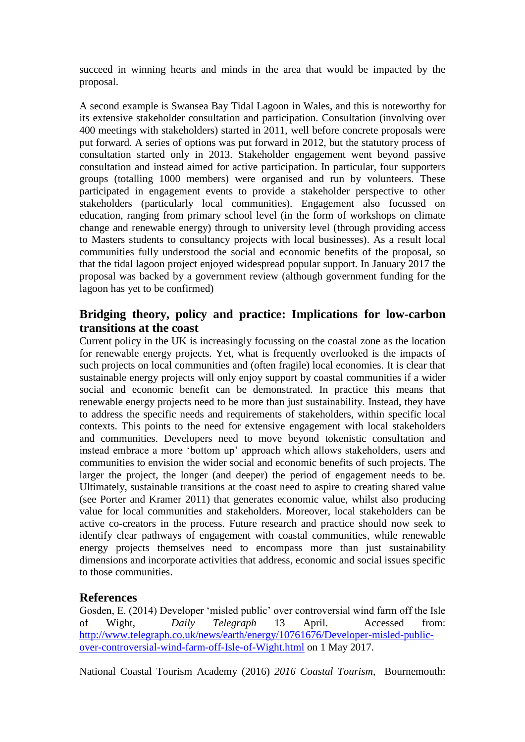succeed in winning hearts and minds in the area that would be impacted by the proposal.

A second example is Swansea Bay Tidal Lagoon in Wales, and this is noteworthy for its extensive stakeholder consultation and participation. Consultation (involving over 400 meetings with stakeholders) started in 2011, well before concrete proposals were put forward. A series of options was put forward in 2012, but the statutory process of consultation started only in 2013. Stakeholder engagement went beyond passive consultation and instead aimed for active participation. In particular, four supporters groups (totalling 1000 members) were organised and run by volunteers. These participated in engagement events to provide a stakeholder perspective to other stakeholders (particularly local communities). Engagement also focussed on education, ranging from primary school level (in the form of workshops on climate change and renewable energy) through to university level (through providing access to Masters students to consultancy projects with local businesses). As a result local communities fully understood the social and economic benefits of the proposal, so that the tidal lagoon project enjoyed widespread popular support. In January 2017 the proposal was backed by a government review (although government funding for the lagoon has yet to be confirmed)

## **Bridging theory, policy and practice: Implications for low-carbon transitions at the coast**

Current policy in the UK is increasingly focussing on the coastal zone as the location for renewable energy projects. Yet, what is frequently overlooked is the impacts of such projects on local communities and (often fragile) local economies. It is clear that sustainable energy projects will only enjoy support by coastal communities if a wider social and economic benefit can be demonstrated. In practice this means that renewable energy projects need to be more than just sustainability. Instead, they have to address the specific needs and requirements of stakeholders, within specific local contexts. This points to the need for extensive engagement with local stakeholders and communities. Developers need to move beyond tokenistic consultation and instead embrace a more 'bottom up' approach which allows stakeholders, users and communities to envision the wider social and economic benefits of such projects. The larger the project, the longer (and deeper) the period of engagement needs to be. Ultimately, sustainable transitions at the coast need to aspire to creating shared value (see Porter and Kramer 2011) that generates economic value, whilst also producing value for local communities and stakeholders. Moreover, local stakeholders can be active co-creators in the process. Future research and practice should now seek to identify clear pathways of engagement with coastal communities, while renewable energy projects themselves need to encompass more than just sustainability dimensions and incorporate activities that address, economic and social issues specific to those communities.

#### **References**

Gosden, E. (2014) Developer 'misled public' over controversial wind farm off the Isle of Wight, *Daily Telegraph* 13 April. Accessed from: [http://www.telegraph.co.uk/news/earth/energy/10761676/Developer-misled-public](http://www.telegraph.co.uk/news/earth/energy/10761676/Developer-misled-public-over-controversial-wind-farm-off-Isle-of-Wight.html)[over-controversial-wind-farm-off-Isle-of-Wight.html](http://www.telegraph.co.uk/news/earth/energy/10761676/Developer-misled-public-over-controversial-wind-farm-off-Isle-of-Wight.html) on 1 May 2017.

National Coastal Tourism Academy (2016) *2016 Coastal Tourism*, Bournemouth: